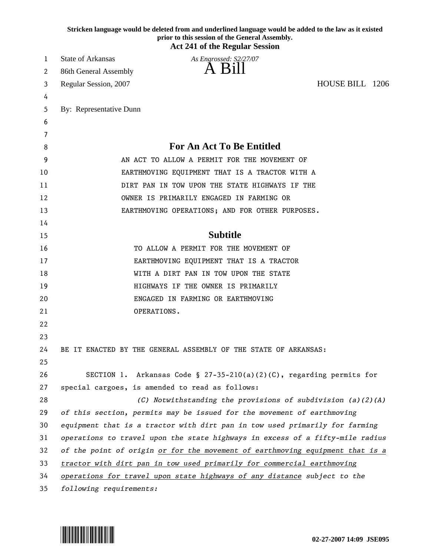|    | Stricken language would be deleted from and underlined language would be added to the law as it existed<br>prior to this session of the General Assembly.<br><b>Act 241 of the Regular Session</b> |
|----|----------------------------------------------------------------------------------------------------------------------------------------------------------------------------------------------------|
| 1  | <b>State of Arkansas</b><br>As Engrossed: S2/27/07                                                                                                                                                 |
| 2  | 86th General Assembly                                                                                                                                                                              |
| 3  | HOUSE BILL 1206<br>Regular Session, 2007                                                                                                                                                           |
| 4  |                                                                                                                                                                                                    |
| 5  | By: Representative Dunn                                                                                                                                                                            |
| 6  |                                                                                                                                                                                                    |
| 7  |                                                                                                                                                                                                    |
| 8  | For An Act To Be Entitled                                                                                                                                                                          |
| 9  | AN ACT TO ALLOW A PERMIT FOR THE MOVEMENT OF                                                                                                                                                       |
| 10 | EARTHMOVING EQUIPMENT THAT IS A TRACTOR WITH A                                                                                                                                                     |
| 11 | DIRT PAN IN TOW UPON THE STATE HIGHWAYS IF THE                                                                                                                                                     |
| 12 | OWNER IS PRIMARILY ENGAGED IN FARMING OR                                                                                                                                                           |
| 13 | EARTHMOVING OPERATIONS; AND FOR OTHER PURPOSES.                                                                                                                                                    |
| 14 |                                                                                                                                                                                                    |
| 15 | <b>Subtitle</b>                                                                                                                                                                                    |
| 16 | TO ALLOW A PERMIT FOR THE MOVEMENT OF                                                                                                                                                              |
| 17 | EARTHMOVING EQUIPMENT THAT IS A TRACTOR                                                                                                                                                            |
| 18 | WITH A DIRT PAN IN TOW UPON THE STATE                                                                                                                                                              |
| 19 | HIGHWAYS IF THE OWNER IS PRIMARILY                                                                                                                                                                 |
| 20 | ENGAGED IN FARMING OR EARTHMOVING                                                                                                                                                                  |
| 21 | OPERATIONS.                                                                                                                                                                                        |
| 22 |                                                                                                                                                                                                    |
| 23 |                                                                                                                                                                                                    |
| 24 | BE IT ENACTED BY THE GENERAL ASSEMBLY OF THE STATE OF ARKANSAS:                                                                                                                                    |
| 25 |                                                                                                                                                                                                    |
| 26 | SECTION 1. Arkansas Code § 27-35-210(a)(2)(C), regarding permits for                                                                                                                               |
| 27 | special cargoes, is amended to read as follows:                                                                                                                                                    |
| 28 | (C) Notwithstanding the provisions of subdivision $(a)(2)(A)$                                                                                                                                      |
| 29 | of this section, permits may be issued for the movement of earthmoving                                                                                                                             |
| 30 | equipment that is a tractor with dirt pan in tow used primarily for farming                                                                                                                        |
| 31 | operations to travel upon the state highways in excess of a fifty-mile radius                                                                                                                      |
| 32 | of the point of origin or for the movement of earthmoving equipment that is a                                                                                                                      |
| 33 | tractor with dirt pan in tow used primarily for commercial earthmoving                                                                                                                             |
| 34 | operations for travel upon state highways of any distance subject to the                                                                                                                           |
| 35 | following requirements:                                                                                                                                                                            |